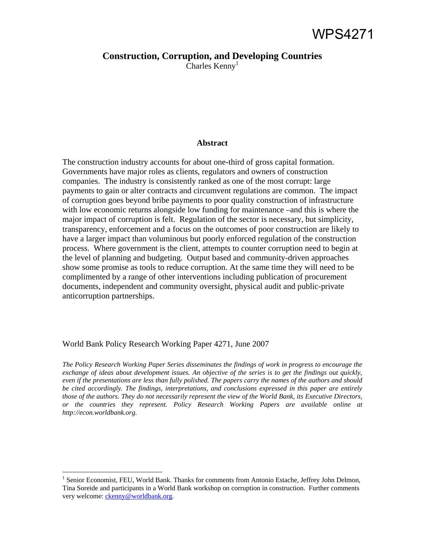# **Construction, Corruption, and Developing Countries**

 $Charles$  Kenny<sup>1</sup>

#### **Abstract**

The construction industry accounts for about one-third of gross capital formation. Governments have major roles as clients, regulators and owners of construction companies. The industry is consistently ranked as one of the most corrupt: large payments to gain or alter contracts and circumvent regulations are common. The impact of corruption goes beyond bribe payments to poor quality construction of infrastructure with low economic returns alongside low funding for maintenance –and this is where the major impact of corruption is felt. Regulation of the sector is necessary, but simplicity, transparency, enforcement and a focus on the outcomes of poor construction are likely to have a larger impact than voluminous but poorly enforced regulation of the construction process. Where government is the client, attempts to counter corruption need to begin at the level of planning and budgeting. Output based and community-driven approaches show some promise as tools to reduce corruption. At the same time they will need to be complimented by a range of other interventions including publication of procurement documents, independent and community oversight, physical audit and public-private anticorruption partnerships.

#### World Bank Policy Research Working Paper 4271, June 2007

 $\overline{a}$ 

*The Policy Research Working Paper Series disseminates the findings of work in progress to encourage the exchange of ideas about development issues. An objective of the series is to get the findings out quickly, even if the presentations are less than fully polished. The papers carry the names of the authors and should be cited accordingly. The findings, interpretations, and conclusions expressed in this paper are entirely those of the authors. They do not necessarily represent the view of the World Bank, its Executive Directors, or the countries they represent. Policy Research Working Papers are available online at http://econ.worldbank.org.* 

<sup>&</sup>lt;sup>1</sup> Senior Economist, FEU, World Bank. Thanks for comments from Antonio Estache, Jeffrey John Delmon, Tina Soreide and participants in a World Bank workshop on corruption in construction. Further comments very welcome: ckenny@worldbank.org.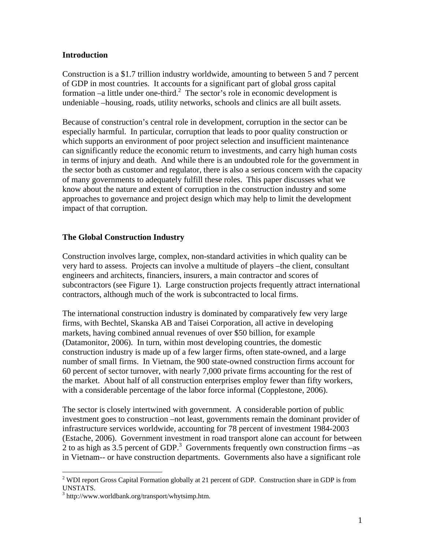#### **Introduction**

Construction is a \$1.7 trillion industry worldwide, amounting to between 5 and 7 percent of GDP in most countries. It accounts for a significant part of global gross capital formation  $-a$  little under one-third.<sup>2</sup> The sector's role in economic development is undeniable –housing, roads, utility networks, schools and clinics are all built assets.

Because of construction's central role in development, corruption in the sector can be especially harmful. In particular, corruption that leads to poor quality construction or which supports an environment of poor project selection and insufficient maintenance can significantly reduce the economic return to investments, and carry high human costs in terms of injury and death. And while there is an undoubted role for the government in the sector both as customer and regulator, there is also a serious concern with the capacity of many governments to adequately fulfill these roles. This paper discusses what we know about the nature and extent of corruption in the construction industry and some approaches to governance and project design which may help to limit the development impact of that corruption.

## **The Global Construction Industry**

Construction involves large, complex, non-standard activities in which quality can be very hard to assess. Projects can involve a multitude of players –the client, consultant engineers and architects, financiers, insurers, a main contractor and scores of subcontractors (see Figure 1). Large construction projects frequently attract international contractors, although much of the work is subcontracted to local firms.

The international construction industry is dominated by comparatively few very large firms, with Bechtel, Skanska AB and Taisei Corporation, all active in developing markets, having combined annual revenues of over \$50 billion, for example (Datamonitor, 2006). In turn, within most developing countries, the domestic construction industry is made up of a few larger firms, often state-owned, and a large number of small firms. In Vietnam, the 900 state-owned construction firms account for 60 percent of sector turnover, with nearly 7,000 private firms accounting for the rest of the market. About half of all construction enterprises employ fewer than fifty workers, with a considerable percentage of the labor force informal (Copplestone, 2006).

The sector is closely intertwined with government. A considerable portion of public investment goes to construction –not least, governments remain the dominant provider of infrastructure services worldwide, accounting for 78 percent of investment 1984-2003 (Estache, 2006). Government investment in road transport alone can account for between 2 to as high as 3.5 percent of GDP.<sup>3</sup> Governments frequently own construction firms  $-$ as in Vietnam-- or have construction departments. Governments also have a significant role

 $\overline{a}$  $2^2$  WDI report Gross Capital Formation globally at 21 percent of GDP. Construction share in GDP is from UNSTATS.

<sup>3</sup> http://www.worldbank.org/transport/whytsimp.htm.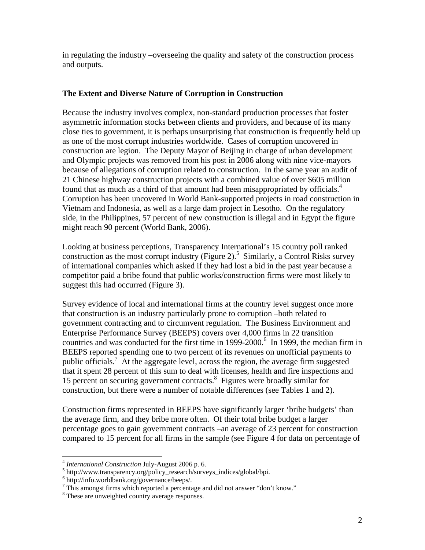in regulating the industry –overseeing the quality and safety of the construction process and outputs.

## **The Extent and Diverse Nature of Corruption in Construction**

Because the industry involves complex, non-standard production processes that foster asymmetric information stocks between clients and providers, and because of its many close ties to government, it is perhaps unsurprising that construction is frequently held up as one of the most corrupt industries worldwide. Cases of corruption uncovered in construction are legion. The Deputy Mayor of Beijing in charge of urban development and Olympic projects was removed from his post in 2006 along with nine vice-mayors because of allegations of corruption related to construction. In the same year an audit of 21 Chinese highway construction projects with a combined value of over \$605 million found that as much as a third of that amount had been misappropriated by officials.<sup>4</sup> Corruption has been uncovered in World Bank-supported projects in road construction in Vietnam and Indonesia, as well as a large dam project in Lesotho. On the regulatory side, in the Philippines, 57 percent of new construction is illegal and in Egypt the figure might reach 90 percent (World Bank, 2006).

Looking at business perceptions, Transparency International's 15 country poll ranked construction as the most corrupt industry (Figure 2).<sup>5</sup> Similarly, a Control Risks survey of international companies which asked if they had lost a bid in the past year because a competitor paid a bribe found that public works/construction firms were most likely to suggest this had occurred (Figure 3).

Survey evidence of local and international firms at the country level suggest once more that construction is an industry particularly prone to corruption –both related to government contracting and to circumvent regulation. The Business Environment and Enterprise Performance Survey (BEEPS) covers over 4,000 firms in 22 transition countries and was conducted for the first time in 1999-2000.<sup>6</sup> In 1999, the median firm in BEEPS reported spending one to two percent of its revenues on unofficial payments to public officials.<sup>7</sup> At the aggregate level, across the region, the average firm suggested that it spent 28 percent of this sum to deal with licenses, health and fire inspections and 15 percent on securing government contracts.8 Figures were broadly similar for construction, but there were a number of notable differences (see Tables 1 and 2).

Construction firms represented in BEEPS have significantly larger 'bribe budgets' than the average firm, and they bribe more often. Of their total bribe budget a larger percentage goes to gain government contracts –an average of 23 percent for construction compared to 15 percent for all firms in the sample (see Figure 4 for data on percentage of

<sup>&</sup>lt;sup>4</sup> International Construction July-August 2006 p. 6.

http://www.transparency.org/policy\_research/surveys\_indices/global/bpi.

 $h_{\text{http://info.worldbank.org/governance/beeps/}}$ 

 $7$  This amongst firms which reported a percentage and did not answer "don't know."

<sup>&</sup>lt;sup>8</sup> These are unweighted country average responses.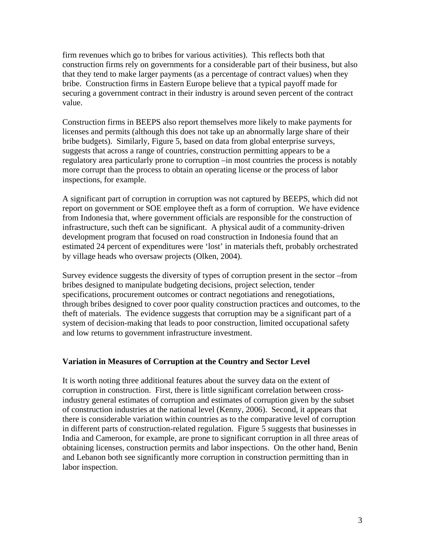firm revenues which go to bribes for various activities). This reflects both that construction firms rely on governments for a considerable part of their business, but also that they tend to make larger payments (as a percentage of contract values) when they bribe. Construction firms in Eastern Europe believe that a typical payoff made for securing a government contract in their industry is around seven percent of the contract value.

Construction firms in BEEPS also report themselves more likely to make payments for licenses and permits (although this does not take up an abnormally large share of their bribe budgets). Similarly, Figure 5, based on data from global enterprise surveys, suggests that across a range of countries, construction permitting appears to be a regulatory area particularly prone to corruption –in most countries the process is notably more corrupt than the process to obtain an operating license or the process of labor inspections, for example.

A significant part of corruption in corruption was not captured by BEEPS, which did not report on government or SOE employee theft as a form of corruption. We have evidence from Indonesia that, where government officials are responsible for the construction of infrastructure, such theft can be significant. A physical audit of a community-driven development program that focused on road construction in Indonesia found that an estimated 24 percent of expenditures were 'lost' in materials theft, probably orchestrated by village heads who oversaw projects (Olken, 2004).

Survey evidence suggests the diversity of types of corruption present in the sector –from bribes designed to manipulate budgeting decisions, project selection, tender specifications, procurement outcomes or contract negotiations and renegotiations, through bribes designed to cover poor quality construction practices and outcomes, to the theft of materials. The evidence suggests that corruption may be a significant part of a system of decision-making that leads to poor construction, limited occupational safety and low returns to government infrastructure investment.

#### **Variation in Measures of Corruption at the Country and Sector Level**

It is worth noting three additional features about the survey data on the extent of corruption in construction. First, there is little significant correlation between crossindustry general estimates of corruption and estimates of corruption given by the subset of construction industries at the national level (Kenny, 2006). Second, it appears that there is considerable variation within countries as to the comparative level of corruption in different parts of construction-related regulation. Figure 5 suggests that businesses in India and Cameroon, for example, are prone to significant corruption in all three areas of obtaining licenses, construction permits and labor inspections. On the other hand, Benin and Lebanon both see significantly more corruption in construction permitting than in labor inspection.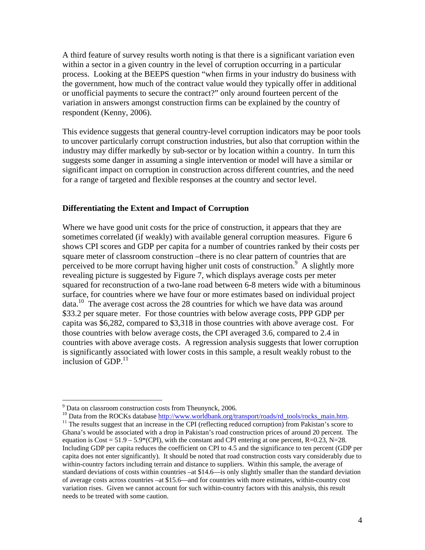A third feature of survey results worth noting is that there is a significant variation even within a sector in a given country in the level of corruption occurring in a particular process. Looking at the BEEPS question "when firms in your industry do business with the government, how much of the contract value would they typically offer in additional or unofficial payments to secure the contract?" only around fourteen percent of the variation in answers amongst construction firms can be explained by the country of respondent (Kenny, 2006).

This evidence suggests that general country-level corruption indicators may be poor tools to uncover particularly corrupt construction industries, but also that corruption within the industry may differ markedly by sub-sector or by location within a country. In turn this suggests some danger in assuming a single intervention or model will have a similar or significant impact on corruption in construction across different countries, and the need for a range of targeted and flexible responses at the country and sector level.

#### **Differentiating the Extent and Impact of Corruption**

Where we have good unit costs for the price of construction, it appears that they are sometimes correlated (if weakly) with available general corruption measures. Figure 6 shows CPI scores and GDP per capita for a number of countries ranked by their costs per square meter of classroom construction –there is no clear pattern of countries that are perceived to be more corrupt having higher unit costs of construction.<sup>9</sup> A slightly more revealing picture is suggested by Figure 7, which displays average costs per meter squared for reconstruction of a two-lane road between 6-8 meters wide with a bituminous surface, for countries where we have four or more estimates based on individual project data.<sup>10</sup> The average cost across the 28 countries for which we have data was around \$33.2 per square meter. For those countries with below average costs, PPP GDP per capita was \$6,282, compared to \$3,318 in those countries with above average cost. For those countries with below average costs, the CPI averaged 3.6, compared to 2.4 in countries with above average costs. A regression analysis suggests that lower corruption is significantly associated with lower costs in this sample, a result weakly robust to the inclusion of  $GDP<sup>11</sup>$ 

1

<sup>&</sup>lt;sup>9</sup> Data on classroom construction costs from Theunynck, 2006.

<sup>&</sup>lt;sup>10</sup> Data from the ROCKs database  $\frac{http://www.worldbank.org/transport/roads/rd_tools/rocks_meann.htm}{11}$ . The results suggest that an increase in the CPI (reflecting reduced corruption) from Pakistan's score to

Ghana's would be associated with a drop in Pakistan's road construction prices of around 20 percent. The equation is Cost =  $51.9 - 5.9*(CPI)$ , with the constant and CPI entering at one percent, R=0.23, N=28. Including GDP per capita reduces the coefficient on CPI to 4.5 and the significance to ten percent (GDP per capita does not enter significantly). It should be noted that road construction costs vary considerably due to within-country factors including terrain and distance to suppliers. Within this sample, the average of standard deviations of costs within countries –at \$14.6—is only slightly smaller than the standard deviation of average costs across countries –at \$15.6—and for countries with more estimates, within-country cost variation rises. Given we cannot account for such within-country factors with this analysis, this result needs to be treated with some caution.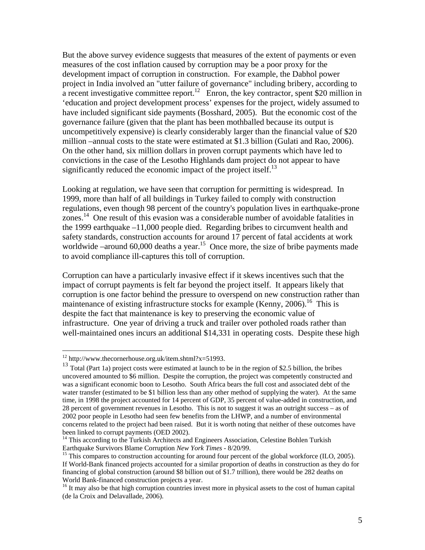But the above survey evidence suggests that measures of the extent of payments or even measures of the cost inflation caused by corruption may be a poor proxy for the development impact of corruption in construction. For example, the Dabhol power project in India involved an "utter failure of governance" including bribery, according to a recent investigative committee report.<sup>12</sup> Enron, the key contractor, spent \$20 million in 'education and project development process' expenses for the project, widely assumed to have included significant side payments (Bosshard, 2005). But the economic cost of the governance failure (given that the plant has been mothballed because its output is uncompetitively expensive) is clearly considerably larger than the financial value of \$20 million –annual costs to the state were estimated at \$1.3 billion (Gulati and Rao, 2006). On the other hand, six million dollars in proven corrupt payments which have led to convictions in the case of the Lesotho Highlands dam project do not appear to have significantly reduced the economic impact of the project itself.<sup>13</sup>

Looking at regulation, we have seen that corruption for permitting is widespread. In 1999, more than half of all buildings in Turkey failed to comply with construction regulations, even though 98 percent of the country's population lives in earthquake-prone zones. 14 One result of this evasion was a considerable number of avoidable fatalities in the 1999 earthquake –11,000 people died. Regarding bribes to circumvent health and safety standards, construction accounts for around 17 percent of fatal accidents at work worldwide –around 60,000 deaths a year.<sup>15</sup> Once more, the size of bribe payments made to avoid compliance ill-captures this toll of corruption.

Corruption can have a particularly invasive effect if it skews incentives such that the impact of corrupt payments is felt far beyond the project itself. It appears likely that corruption is one factor behind the pressure to overspend on new construction rather than maintenance of existing infrastructure stocks for example (Kenny, 2006).<sup>16</sup> This is despite the fact that maintenance is key to preserving the economic value of infrastructure. One year of driving a truck and trailer over potholed roads rather than well-maintained ones incurs an additional \$14,331 in operating costs. Despite these high

 $12$  http://www.thecornerhouse.org.uk/item.shtml?x=51993.

 $13$  Total (Part 1a) project costs were estimated at launch to be in the region of \$2.5 billion, the bribes uncovered amounted to \$6 million. Despite the corruption, the project was competently constructed and was a significant economic boon to Lesotho. South Africa bears the full cost and associated debt of the water transfer (estimated to be \$1 billion less than any other method of supplying the water). At the same time, in 1998 the project accounted for 14 percent of GDP, 35 percent of value-added in construction, and 28 percent of government revenues in Lesotho. This is not to suggest it was an outright success – as of 2002 poor people in Lesotho had seen few benefits from the LHWP, and a number of environmental concerns related to the project had been raised. But it is worth noting that neither of these outcomes have been linked to corrupt payments (OED 2002).

<sup>&</sup>lt;sup>14</sup> This according to the Turkish Architects and Engineers Association, Celestine Bohlen Turkish Earthquake Survivors Blame Corruption *New York Times* - 8/20/99.<br><sup>15</sup> This compares to construction accounting for around four percent of the global workforce (ILO, 2005).

If World-Bank financed projects accounted for a similar proportion of deaths in construction as they do for financing of global construction (around \$8 billion out of \$1.7 trillion), there would be 282 deaths on World Bank-financed construction projects a year.<br><sup>16</sup> It may also be that high corruption countries invest more in physical assets to the cost of human capital

<sup>(</sup>de la Croix and Delavallade, 2006).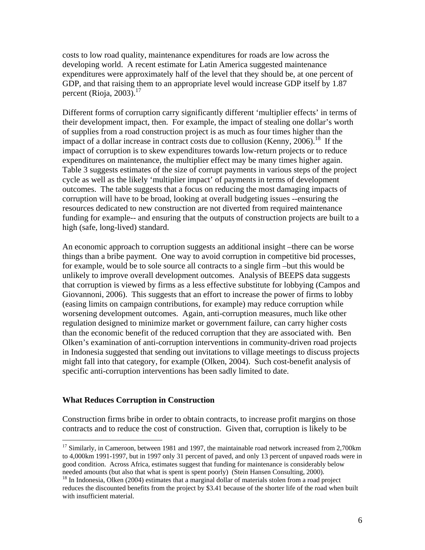costs to low road quality, maintenance expenditures for roads are low across the developing world. A recent estimate for Latin America suggested maintenance expenditures were approximately half of the level that they should be, at one percent of GDP, and that raising them to an appropriate level would increase GDP itself by 1.87 percent (Rioja, 2003).<sup>17</sup>

Different forms of corruption carry significantly different 'multiplier effects' in terms of their development impact, then. For example, the impact of stealing one dollar's worth of supplies from a road construction project is as much as four times higher than the impact of a dollar increase in contract costs due to collusion (Kenny, 2006).<sup>18</sup> If the impact of corruption is to skew expenditures towards low-return projects or to reduce expenditures on maintenance, the multiplier effect may be many times higher again. Table 3 suggests estimates of the size of corrupt payments in various steps of the project cycle as well as the likely 'multiplier impact' of payments in terms of development outcomes. The table suggests that a focus on reducing the most damaging impacts of corruption will have to be broad, looking at overall budgeting issues --ensuring the resources dedicated to new construction are not diverted from required maintenance funding for example-- and ensuring that the outputs of construction projects are built to a high (safe, long-lived) standard.

An economic approach to corruption suggests an additional insight –there can be worse things than a bribe payment. One way to avoid corruption in competitive bid processes, for example, would be to sole source all contracts to a single firm –but this would be unlikely to improve overall development outcomes. Analysis of BEEPS data suggests that corruption is viewed by firms as a less effective substitute for lobbying (Campos and Giovannoni, 2006). This suggests that an effort to increase the power of firms to lobby (easing limits on campaign contributions, for example) may reduce corruption while worsening development outcomes. Again, anti-corruption measures, much like other regulation designed to minimize market or government failure, can carry higher costs than the economic benefit of the reduced corruption that they are associated with. Ben Olken's examination of anti-corruption interventions in community-driven road projects in Indonesia suggested that sending out invitations to village meetings to discuss projects might fall into that category, for example (Olken, 2004). Such cost-benefit analysis of specific anti-corruption interventions has been sadly limited to date.

#### **What Reduces Corruption in Construction**

 $\overline{a}$ 

Construction firms bribe in order to obtain contracts, to increase profit margins on those contracts and to reduce the cost of construction. Given that, corruption is likely to be

 $17$  Similarly, in Cameroon, between 1981 and 1997, the maintainable road network increased from 2,700 km to 4,000km 1991-1997, but in 1997 only 31 percent of paved, and only 13 percent of unpaved roads were in good condition. Across Africa, estimates suggest that funding for maintenance is considerably below needed amounts (but also that what is spent is spent poorly) (Stein Hansen Consulting, 2000).

<sup>&</sup>lt;sup>18</sup> In Indonesia, Olken (2004) estimates that a marginal dollar of materials stolen from a road project reduces the discounted benefits from the project by \$3.41 because of the shorter life of the road when built with insufficient material.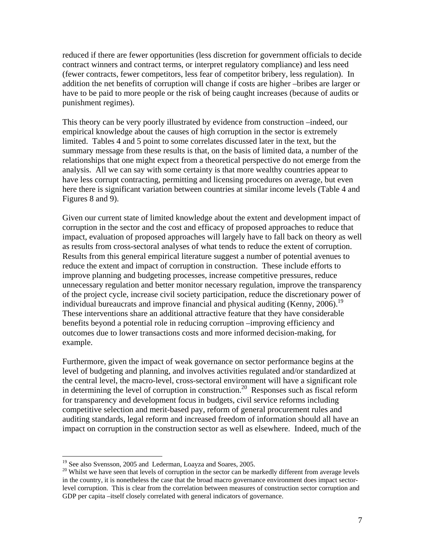reduced if there are fewer opportunities (less discretion for government officials to decide contract winners and contract terms, or interpret regulatory compliance) and less need (fewer contracts, fewer competitors, less fear of competitor bribery, less regulation). In addition the net benefits of corruption will change if costs are higher –bribes are larger or have to be paid to more people or the risk of being caught increases (because of audits or punishment regimes).

This theory can be very poorly illustrated by evidence from construction –indeed, our empirical knowledge about the causes of high corruption in the sector is extremely limited. Tables 4 and 5 point to some correlates discussed later in the text, but the summary message from these results is that, on the basis of limited data, a number of the relationships that one might expect from a theoretical perspective do not emerge from the analysis. All we can say with some certainty is that more wealthy countries appear to have less corrupt contracting, permitting and licensing procedures on average, but even here there is significant variation between countries at similar income levels (Table 4 and Figures 8 and 9).

Given our current state of limited knowledge about the extent and development impact of corruption in the sector and the cost and efficacy of proposed approaches to reduce that impact, evaluation of proposed approaches will largely have to fall back on theory as well as results from cross-sectoral analyses of what tends to reduce the extent of corruption. Results from this general empirical literature suggest a number of potential avenues to reduce the extent and impact of corruption in construction. These include efforts to improve planning and budgeting processes, increase competitive pressures, reduce unnecessary regulation and better monitor necessary regulation, improve the transparency of the project cycle, increase civil society participation, reduce the discretionary power of individual bureaucrats and improve financial and physical auditing (Kenny, 2006).<sup>19</sup> These interventions share an additional attractive feature that they have considerable benefits beyond a potential role in reducing corruption –improving efficiency and outcomes due to lower transactions costs and more informed decision-making, for example.

Furthermore, given the impact of weak governance on sector performance begins at the level of budgeting and planning, and involves activities regulated and/or standardized at the central level, the macro-level, cross-sectoral environment will have a significant role in determining the level of corruption in construction.<sup>20</sup> Responses such as fiscal reform for transparency and development focus in budgets, civil service reforms including competitive selection and merit-based pay, reform of general procurement rules and auditing standards, legal reform and increased freedom of information should all have an impact on corruption in the construction sector as well as elsewhere. Indeed, much of the

<sup>&</sup>lt;sup>19</sup> See also Svensson, 2005 and Lederman, Loayza and Soares, 2005.

 $10^{20}$  Whilst we have seen that levels of corruption in the sector can be markedly different from average levels in the country, it is nonetheless the case that the broad macro governance environment does impact sectorlevel corruption. This is clear from the correlation between measures of construction sector corruption and GDP per capita –itself closely correlated with general indicators of governance.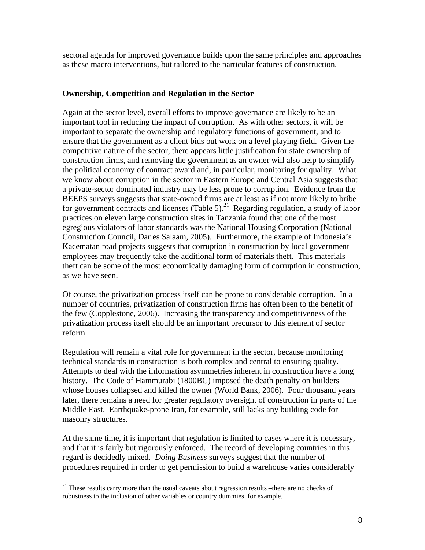sectoral agenda for improved governance builds upon the same principles and approaches as these macro interventions, but tailored to the particular features of construction.

## **Ownership, Competition and Regulation in the Sector**

Again at the sector level, overall efforts to improve governance are likely to be an important tool in reducing the impact of corruption. As with other sectors, it will be important to separate the ownership and regulatory functions of government, and to ensure that the government as a client bids out work on a level playing field. Given the competitive nature of the sector, there appears little justification for state ownership of construction firms, and removing the government as an owner will also help to simplify the political economy of contract award and, in particular, monitoring for quality. What we know about corruption in the sector in Eastern Europe and Central Asia suggests that a private-sector dominated industry may be less prone to corruption. Evidence from the BEEPS surveys suggests that state-owned firms are at least as if not more likely to bribe for government contracts and licenses (Table 5).<sup>21</sup> Regarding regulation, a study of labor practices on eleven large construction sites in Tanzania found that one of the most egregious violators of labor standards was the National Housing Corporation (National Construction Council, Dar es Salaam, 2005). Furthermore, the example of Indonesia's Kacematan road projects suggests that corruption in construction by local government employees may frequently take the additional form of materials theft. This materials theft can be some of the most economically damaging form of corruption in construction, as we have seen.

Of course, the privatization process itself can be prone to considerable corruption. In a number of countries, privatization of construction firms has often been to the benefit of the few (Copplestone, 2006). Increasing the transparency and competitiveness of the privatization process itself should be an important precursor to this element of sector reform.

Regulation will remain a vital role for government in the sector, because monitoring technical standards in construction is both complex and central to ensuring quality. Attempts to deal with the information asymmetries inherent in construction have a long history. The Code of Hammurabi (1800BC) imposed the death penalty on builders whose houses collapsed and killed the owner (World Bank, 2006). Four thousand years later, there remains a need for greater regulatory oversight of construction in parts of the Middle East. Earthquake-prone Iran, for example, still lacks any building code for masonry structures.

At the same time, it is important that regulation is limited to cases where it is necessary, and that it is fairly but rigorously enforced. The record of developing countries in this regard is decidedly mixed. *Doing Business* surveys suggest that the number of procedures required in order to get permission to build a warehouse varies considerably

 $21$  These results carry more than the usual caveats about regression results –there are no checks of robustness to the inclusion of other variables or country dummies, for example.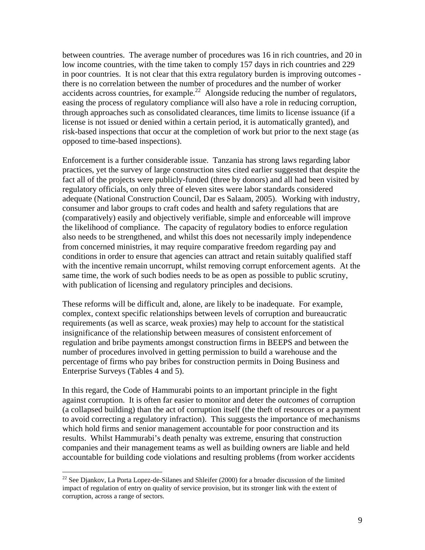between countries. The average number of procedures was 16 in rich countries, and 20 in low income countries, with the time taken to comply 157 days in rich countries and 229 in poor countries. It is not clear that this extra regulatory burden is improving outcomes there is no correlation between the number of procedures and the number of worker accidents across countries, for example.<sup>22</sup> Alongside reducing the number of regulators, easing the process of regulatory compliance will also have a role in reducing corruption, through approaches such as consolidated clearances, time limits to license issuance (if a license is not issued or denied within a certain period, it is automatically granted), and risk-based inspections that occur at the completion of work but prior to the next stage (as opposed to time-based inspections).

Enforcement is a further considerable issue. Tanzania has strong laws regarding labor practices, yet the survey of large construction sites cited earlier suggested that despite the fact all of the projects were publicly-funded (three by donors) and all had been visited by regulatory officials, on only three of eleven sites were labor standards considered adequate (National Construction Council, Dar es Salaam, 2005). Working with industry, consumer and labor groups to craft codes and health and safety regulations that are (comparatively) easily and objectively verifiable, simple and enforceable will improve the likelihood of compliance. The capacity of regulatory bodies to enforce regulation also needs to be strengthened, and whilst this does not necessarily imply independence from concerned ministries, it may require comparative freedom regarding pay and conditions in order to ensure that agencies can attract and retain suitably qualified staff with the incentive remain uncorrupt, whilst removing corrupt enforcement agents. At the same time, the work of such bodies needs to be as open as possible to public scrutiny, with publication of licensing and regulatory principles and decisions.

These reforms will be difficult and, alone, are likely to be inadequate. For example, complex, context specific relationships between levels of corruption and bureaucratic requirements (as well as scarce, weak proxies) may help to account for the statistical insignificance of the relationship between measures of consistent enforcement of regulation and bribe payments amongst construction firms in BEEPS and between the number of procedures involved in getting permission to build a warehouse and the percentage of firms who pay bribes for construction permits in Doing Business and Enterprise Surveys (Tables 4 and 5).

In this regard, the Code of Hammurabi points to an important principle in the fight against corruption. It is often far easier to monitor and deter the *outcomes* of corruption (a collapsed building) than the act of corruption itself (the theft of resources or a payment to avoid correcting a regulatory infraction). This suggests the importance of mechanisms which hold firms and senior management accountable for poor construction and its results. Whilst Hammurabi's death penalty was extreme, ensuring that construction companies and their management teams as well as building owners are liable and held accountable for building code violations and resulting problems (from worker accidents

<sup>&</sup>lt;sup>22</sup> See Djankov, La Porta Lopez-de-Silanes and Shleifer (2000) for a broader discussion of the limited impact of regulation of entry on quality of service provision, but its stronger link with the extent of corruption, across a range of sectors.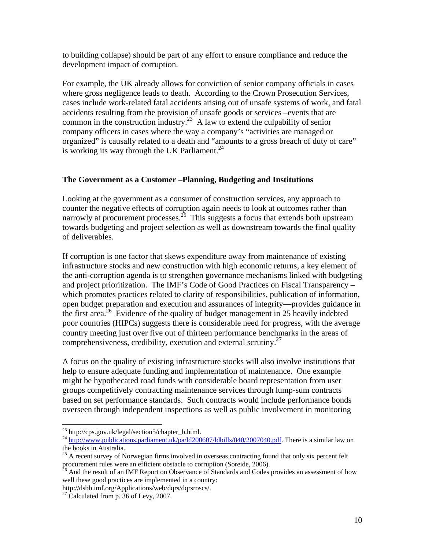to building collapse) should be part of any effort to ensure compliance and reduce the development impact of corruption.

For example, the UK already allows for conviction of senior company officials in cases where gross negligence leads to death. According to the Crown Prosecution Services, cases include work-related fatal accidents arising out of unsafe systems of work, and fatal accidents resulting from the provision of unsafe goods or services –events that are common in the construction industry.<sup>23</sup> A law to extend the culpability of senior company officers in cases where the way a company's "activities are managed or organized" is causally related to a death and "amounts to a gross breach of duty of care" is working its way through the UK Parliament.<sup>24</sup>

## **The Government as a Customer –Planning, Budgeting and Institutions**

Looking at the government as a consumer of construction services, any approach to counter the negative effects of corruption again needs to look at outcomes rather than narrowly at procurement processes.<sup>25</sup> This suggests a focus that extends both upstream towards budgeting and project selection as well as downstream towards the final quality of deliverables.

If corruption is one factor that skews expenditure away from maintenance of existing infrastructure stocks and new construction with high economic returns, a key element of the anti-corruption agenda is to strengthen governance mechanisms linked with budgeting and project prioritization. The IMF's Code of Good Practices on Fiscal Transparency – which promotes practices related to clarity of responsibilities, publication of information, open budget preparation and execution and assurances of integrity—provides guidance in the first area.<sup>26</sup> Evidence of the quality of budget management in 25 heavily indebted poor countries (HIPCs) suggests there is considerable need for progress, with the average country meeting just over five out of thirteen performance benchmarks in the areas of comprehensiveness, credibility, execution and external scrutiny.<sup>27</sup>

A focus on the quality of existing infrastructure stocks will also involve institutions that help to ensure adequate funding and implementation of maintenance. One example might be hypothecated road funds with considerable board representation from user groups competitively contracting maintenance services through lump-sum contracts based on set performance standards. Such contracts would include performance bonds overseen through independent inspections as well as public involvement in monitoring

http://dsbb.imf.org/Applications/web/dqrs/dqrsroscs/.<sup>27</sup> Calculated from p. 36 of Levy, 2007.

 $^{23}$  http://cps.gov.uk/legal/section5/chapter\_b.html.

<sup>&</sup>lt;sup>24</sup> http://www.publications.parliament.uk/pa/ld200607/ldbills/040/2007040.pdf. There is a similar law on the books in Australia.

 $^{25}$  A recent survey of Norwegian firms involved in overseas contracting found that only six percent felt procurement rules were an efficient obstacle to corruption (Soreide, 2006).<br><sup>26</sup> And the result of an IMF Report on Observance of Standards and Codes provides an assessment of how

well these good practices are implemented in a country: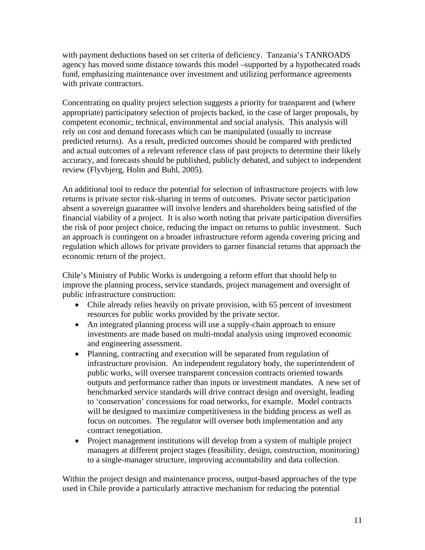with payment deductions based on set criteria of deficiency. Tanzania's TANROADS agency has moved some distance towards this model –supported by a hypothecated roads fund, emphasizing maintenance over investment and utilizing performance agreements with private contractors.

Concentrating on quality project selection suggests a priority for transparent and (where appropriate) participatory selection of projects backed, in the case of larger proposals, by competent economic, technical, environmental and social analysis. This analysis will rely on cost and demand forecasts which can be manipulated (usually to increase predicted returns). As a result, predicted outcomes should be compared with predicted and actual outcomes of a relevant reference class of past projects to determine their likely accuracy, and forecasts should be published, publicly debated, and subject to independent review (Flyvbjerg, Holm and Buhl, 2005).

An additional tool to reduce the potential for selection of infrastructure projects with low returns is private sector risk-sharing in terms of outcomes. Private sector participation absent a sovereign guarantee will involve lenders and shareholders being satisfied of the financial viability of a project. It is also worth noting that private participation diversifies the risk of poor project choice, reducing the impact on returns to public investment. Such an approach is contingent on a broader infrastructure reform agenda covering pricing and regulation which allows for private providers to garner financial returns that approach the economic return of the project.

Chile's Ministry of Public Works is undergoing a reform effort that should help to improve the planning process, service standards, project management and oversight of public infrastructure construction:

- Chile already relies heavily on private provision, with 65 percent of investment resources for public works provided by the private sector.
- An integrated planning process will use a supply-chain approach to ensure investments are made based on multi-modal analysis using improved economic and engineering assessment.
- Planning, contracting and execution will be separated from regulation of infrastructure provision. An independent regulatory body, the superintendent of public works, will oversee transparent concession contracts oriented towards outputs and performance rather than inputs or investment mandates. A new set of benchmarked service standards will drive contract design and oversight, leading to 'conservation' concessions for road networks, for example. Model contracts will be designed to maximize competitiveness in the bidding process as well as focus on outcomes. The regulator will oversee both implementation and any contract renegotiation.
- Project management institutions will develop from a system of multiple project managers at different project stages (feasibility, design, construction, monitoring) to a single-manager structure, improving accountability and data collection.

Within the project design and maintenance process, output-based approaches of the type used in Chile provide a particularly attractive mechanism for reducing the potential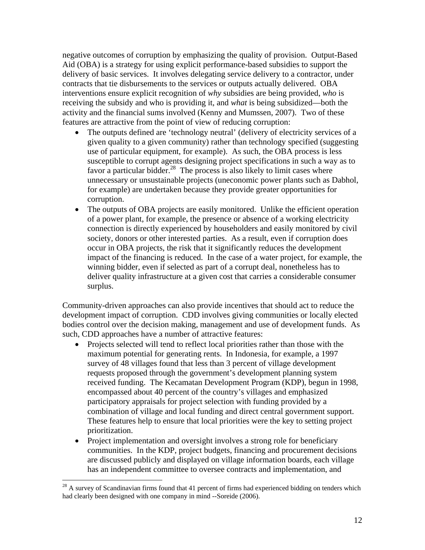negative outcomes of corruption by emphasizing the quality of provision. Output-Based Aid (OBA) is a strategy for using explicit performance-based subsidies to support the delivery of basic services. It involves delegating service delivery to a contractor, under contracts that tie disbursements to the services or outputs actually delivered. OBA interventions ensure explicit recognition of *why* subsidies are being provided, *who* is receiving the subsidy and who is providing it, and *what* is being subsidized—both the activity and the financial sums involved (Kenny and Mumssen, 2007). Two of these features are attractive from the point of view of reducing corruption:

- The outputs defined are 'technology neutral' (delivery of electricity services of a given quality to a given community) rather than technology specified (suggesting use of particular equipment, for example). As such, the OBA process is less susceptible to corrupt agents designing project specifications in such a way as to favor a particular bidder.<sup>28</sup> The process is also likely to limit cases where unnecessary or unsustainable projects (uneconomic power plants such as Dabhol, for example) are undertaken because they provide greater opportunities for corruption.
- The outputs of OBA projects are easily monitored. Unlike the efficient operation of a power plant, for example, the presence or absence of a working electricity connection is directly experienced by householders and easily monitored by civil society, donors or other interested parties. As a result, even if corruption does occur in OBA projects, the risk that it significantly reduces the development impact of the financing is reduced. In the case of a water project, for example, the winning bidder, even if selected as part of a corrupt deal, nonetheless has to deliver quality infrastructure at a given cost that carries a considerable consumer surplus.

Community-driven approaches can also provide incentives that should act to reduce the development impact of corruption. CDD involves giving communities or locally elected bodies control over the decision making, management and use of development funds. As such, CDD approaches have a number of attractive features:

- Projects selected will tend to reflect local priorities rather than those with the maximum potential for generating rents. In Indonesia, for example, a 1997 survey of 48 villages found that less than 3 percent of village development requests proposed through the government's development planning system received funding. The Kecamatan Development Program (KDP), begun in 1998, encompassed about 40 percent of the country's villages and emphasized participatory appraisals for project selection with funding provided by a combination of village and local funding and direct central government support. These features help to ensure that local priorities were the key to setting project prioritization.
- Project implementation and oversight involves a strong role for beneficiary communities. In the KDP, project budgets, financing and procurement decisions are discussed publicly and displayed on village information boards, each village has an independent committee to oversee contracts and implementation, and

 $^{28}$  A survey of Scandinavian firms found that 41 percent of firms had experienced bidding on tenders which had clearly been designed with one company in mind --Soreide (2006).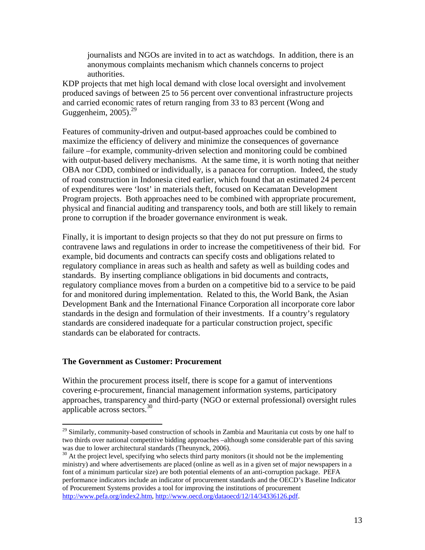journalists and NGOs are invited in to act as watchdogs. In addition, there is an anonymous complaints mechanism which channels concerns to project authorities.

KDP projects that met high local demand with close local oversight and involvement produced savings of between 25 to 56 percent over conventional infrastructure projects and carried economic rates of return ranging from 33 to 83 percent (Wong and Guggenheim,  $2005$ ).<sup>29</sup>

Features of community-driven and output-based approaches could be combined to maximize the efficiency of delivery and minimize the consequences of governance failure –for example, community-driven selection and monitoring could be combined with output-based delivery mechanisms. At the same time, it is worth noting that neither OBA nor CDD, combined or individually, is a panacea for corruption. Indeed, the study of road construction in Indonesia cited earlier, which found that an estimated 24 percent of expenditures were 'lost' in materials theft, focused on Kecamatan Development Program projects. Both approaches need to be combined with appropriate procurement, physical and financial auditing and transparency tools, and both are still likely to remain prone to corruption if the broader governance environment is weak.

Finally, it is important to design projects so that they do not put pressure on firms to contravene laws and regulations in order to increase the competitiveness of their bid. For example, bid documents and contracts can specify costs and obligations related to regulatory compliance in areas such as health and safety as well as building codes and standards. By inserting compliance obligations in bid documents and contracts, regulatory compliance moves from a burden on a competitive bid to a service to be paid for and monitored during implementation. Related to this, the World Bank, the Asian Development Bank and the International Finance Corporation all incorporate core labor standards in the design and formulation of their investments. If a country's regulatory standards are considered inadequate for a particular construction project, specific standards can be elaborated for contracts.

#### **The Government as Customer: Procurement**

 $\overline{a}$ 

Within the procurement process itself, there is scope for a gamut of interventions covering e-procurement, financial management information systems, participatory approaches, transparency and third-party (NGO or external professional) oversight rules applicable across sectors.<sup>30</sup>

<sup>&</sup>lt;sup>29</sup> Similarly, community-based construction of schools in Zambia and Mauritania cut costs by one half to two thirds over national competitive bidding approaches –although some considerable part of this saving was due to lower architectural standards (Theunynck, 2006).

 $30$  At the project level, specifying who selects third party monitors (it should not be the implementing ministry) and where advertisements are placed (online as well as in a given set of major newspapers in a font of a minimum particular size) are both potential elements of an anti-corruption package. PEFA performance indicators include an indicator of procurement standards and the OECD's Baseline Indicator of Procurement Systems provides a tool for improving the institutions of procurement http://www.pefa.org/index2.htm, http://www.oecd.org/dataoecd/12/14/34336126.pdf.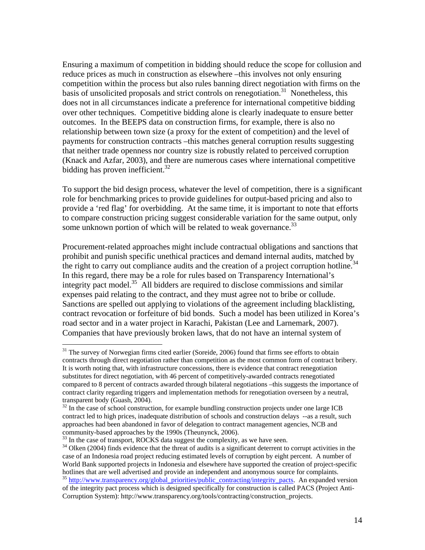Ensuring a maximum of competition in bidding should reduce the scope for collusion and reduce prices as much in construction as elsewhere –this involves not only ensuring competition within the process but also rules banning direct negotiation with firms on the basis of unsolicited proposals and strict controls on renegotiation.<sup>31</sup> Nonetheless, this does not in all circumstances indicate a preference for international competitive bidding over other techniques. Competitive bidding alone is clearly inadequate to ensure better outcomes. In the BEEPS data on construction firms, for example, there is also no relationship between town size (a proxy for the extent of competition) and the level of payments for construction contracts –this matches general corruption results suggesting that neither trade openness nor country size is robustly related to perceived corruption (Knack and Azfar, 2003), and there are numerous cases where international competitive bidding has proven inefficient. $32$ 

To support the bid design process, whatever the level of competition, there is a significant role for benchmarking prices to provide guidelines for output-based pricing and also to provide a 'red flag' for overbidding. At the same time, it is important to note that efforts to compare construction pricing suggest considerable variation for the same output, only some unknown portion of which will be related to weak governance.<sup>33</sup>

Procurement-related approaches might include contractual obligations and sanctions that prohibit and punish specific unethical practices and demand internal audits, matched by the right to carry out compliance audits and the creation of a project corruption hotline.<sup>34</sup> In this regard, there may be a role for rules based on Transparency International's integrity pact model.<sup>35</sup> All bidders are required to disclose commissions and similar expenses paid relating to the contract, and they must agree not to bribe or collude. Sanctions are spelled out applying to violations of the agreement including blacklisting, contract revocation or forfeiture of bid bonds. Such a model has been utilized in Korea's road sector and in a water project in Karachi, Pakistan (Lee and Larnemark, 2007). Companies that have previously broken laws, that do not have an internal system of

 $31$  The survey of Norwegian firms cited earlier (Soreide, 2006) found that firms see efforts to obtain contracts through direct negotiation rather than competition as the most common form of contract bribery. It is worth noting that, with infrastructure concessions, there is evidence that contract renegotiation substitutes for direct negotiation, with 46 percent of competitively-awarded contracts renegotiated compared to 8 percent of contracts awarded through bilateral negotiations –this suggests the importance of contract clarity regarding triggers and implementation methods for renegotiation overseen by a neutral, transparent body (Guash, 2004).

<sup>&</sup>lt;sup>32</sup> In the case of school construction, for example bundling construction projects under one large ICB contract led to high prices, inadequate distribution of schools and construction delays --as a result, such approaches had been abandoned in favor of delegation to contract management agencies, NCB and community-based approaches by the 1990s (Theunynck, 2006).

<sup>&</sup>lt;sup>33</sup> In the case of transport, ROCKS data suggest the complexity, as we have seen.

<sup>&</sup>lt;sup>34</sup> Olken (2004) finds evidence that the threat of audits is a significant deterrent to corrupt activities in the case of an Indonesia road project reducing estimated levels of corruption by eight percent. A number of World Bank supported projects in Indonesia and elsewhere have supported the creation of project-specific hotlines that are well advertised and provide an independent and anonymous source for complaints.

<sup>&</sup>lt;sup>35</sup> http://www.transparency.org/global\_priorities/public\_contracting/integrity\_pacts. An expanded version of the integrity pact process which is designed specifically for construction is called PACS (Project Anti-Corruption System): http://www.transparency.org/tools/contracting/construction\_projects.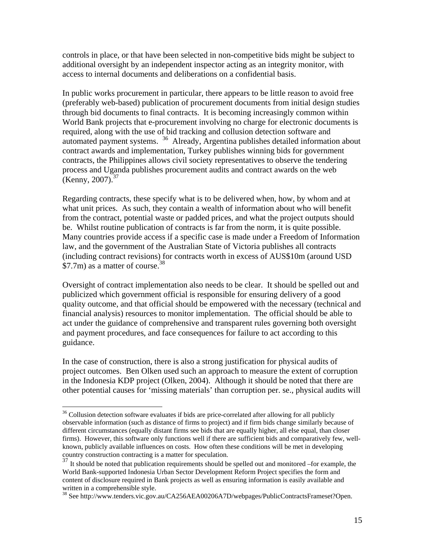controls in place, or that have been selected in non-competitive bids might be subject to additional oversight by an independent inspector acting as an integrity monitor, with access to internal documents and deliberations on a confidential basis.

In public works procurement in particular, there appears to be little reason to avoid free (preferably web-based) publication of procurement documents from initial design studies through bid documents to final contracts. It is becoming increasingly common within World Bank projects that e-procurement involving no charge for electronic documents is required, along with the use of bid tracking and collusion detection software and automated payment systems. 36 Already, Argentina publishes detailed information about contract awards and implementation, Turkey publishes winning bids for government contracts, the Philippines allows civil society representatives to observe the tendering process and Uganda publishes procurement audits and contract awards on the web (Kenny, 2007). $37$ 

Regarding contracts, these specify what is to be delivered when, how, by whom and at what unit prices. As such, they contain a wealth of information about who will benefit from the contract, potential waste or padded prices, and what the project outputs should be. Whilst routine publication of contracts is far from the norm, it is quite possible. Many countries provide access if a specific case is made under a Freedom of Information law, and the government of the Australian State of Victoria publishes all contracts (including contract revisions) for contracts worth in excess of AUS\$10m (around USD \$7.7m) as a matter of course.<sup>38</sup>

Oversight of contract implementation also needs to be clear. It should be spelled out and publicized which government official is responsible for ensuring delivery of a good quality outcome, and that official should be empowered with the necessary (technical and financial analysis) resources to monitor implementation. The official should be able to act under the guidance of comprehensive and transparent rules governing both oversight and payment procedures, and face consequences for failure to act according to this guidance.

In the case of construction, there is also a strong justification for physical audits of project outcomes. Ben Olken used such an approach to measure the extent of corruption in the Indonesia KDP project (Olken, 2004). Although it should be noted that there are other potential causes for 'missing materials' than corruption per. se., physical audits will

<sup>&</sup>lt;sup>36</sup> Collusion detection software evaluates if bids are price-correlated after allowing for all publicly observable information (such as distance of firms to project) and if firm bids change similarly because of different circumstances (equally distant firms see bids that are equally higher, all else equal, than closer firms). However, this software only functions well if there are sufficient bids and comparatively few, wellknown, publicly available influences on costs. How often these conditions will be met in developing country construction contracting is a matter for speculation.

 $37$  It should be noted that publication requirements should be spelled out and monitored –for example, the World Bank-supported Indonesia Urban Sector Development Reform Project specifies the form and content of disclosure required in Bank projects as well as ensuring information is easily available and written in a comprehensible style.

<sup>38</sup> See http://www.tenders.vic.gov.au/CA256AEA00206A7D/webpages/PublicContractsFrameset?Open.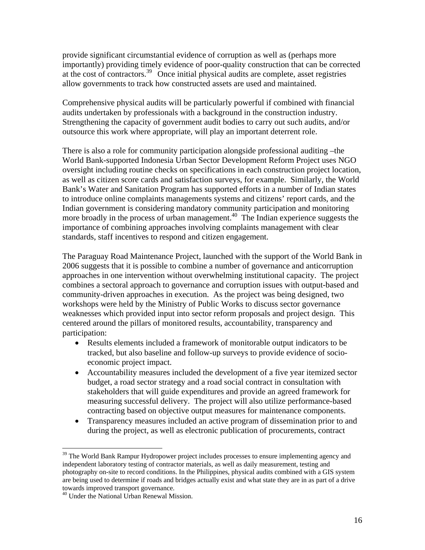provide significant circumstantial evidence of corruption as well as (perhaps more importantly) providing timely evidence of poor-quality construction that can be corrected at the cost of contractors.39 Once initial physical audits are complete, asset registries allow governments to track how constructed assets are used and maintained.

Comprehensive physical audits will be particularly powerful if combined with financial audits undertaken by professionals with a background in the construction industry. Strengthening the capacity of government audit bodies to carry out such audits, and/or outsource this work where appropriate, will play an important deterrent role.

There is also a role for community participation alongside professional auditing –the World Bank-supported Indonesia Urban Sector Development Reform Project uses NGO oversight including routine checks on specifications in each construction project location, as well as citizen score cards and satisfaction surveys, for example. Similarly, the World Bank's Water and Sanitation Program has supported efforts in a number of Indian states to introduce online complaints managements systems and citizens' report cards, and the Indian government is considering mandatory community participation and monitoring more broadly in the process of urban management.<sup> $40$ </sup> The Indian experience suggests the importance of combining approaches involving complaints management with clear standards, staff incentives to respond and citizen engagement.

The Paraguay Road Maintenance Project, launched with the support of the World Bank in 2006 suggests that it is possible to combine a number of governance and anticorruption approaches in one intervention without overwhelming institutional capacity. The project combines a sectoral approach to governance and corruption issues with output-based and community-driven approaches in execution. As the project was being designed, two workshops were held by the Ministry of Public Works to discuss sector governance weaknesses which provided input into sector reform proposals and project design. This centered around the pillars of monitored results, accountability, transparency and participation:

- Results elements included a framework of monitorable output indicators to be tracked, but also baseline and follow-up surveys to provide evidence of socioeconomic project impact.
- Accountability measures included the development of a five year itemized sector budget, a road sector strategy and a road social contract in consultation with stakeholders that will guide expenditures and provide an agreed framework for measuring successful delivery. The project will also utilize performance-based contracting based on objective output measures for maintenance components.
- Transparency measures included an active program of dissemination prior to and during the project, as well as electronic publication of procurements, contract

<sup>&</sup>lt;sup>39</sup> The World Bank Rampur Hydropower project includes processes to ensure implementing agency and independent laboratory testing of contractor materials, as well as daily measurement, testing and photography on-site to record conditions. In the Philippines, physical audits combined with a GIS system are being used to determine if roads and bridges actually exist and what state they are in as part of a drive towards improved transport governance.

<sup>40</sup> Under the National Urban Renewal Mission.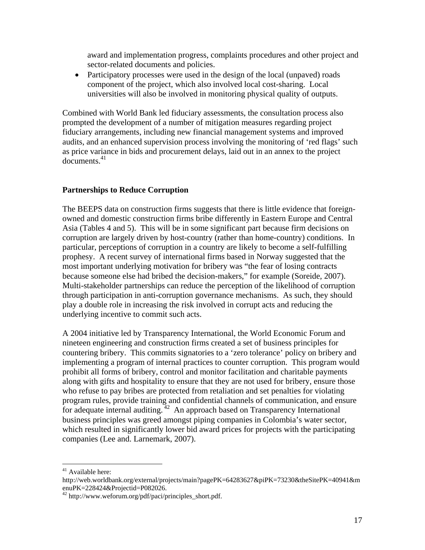award and implementation progress, complaints procedures and other project and sector-related documents and policies.

• Participatory processes were used in the design of the local (unpaved) roads component of the project, which also involved local cost-sharing. Local universities will also be involved in monitoring physical quality of outputs.

Combined with World Bank led fiduciary assessments, the consultation process also prompted the development of a number of mitigation measures regarding project fiduciary arrangements, including new financial management systems and improved audits, and an enhanced supervision process involving the monitoring of 'red flags' such as price variance in bids and procurement delays, laid out in an annex to the project documents.41

## **Partnerships to Reduce Corruption**

The BEEPS data on construction firms suggests that there is little evidence that foreignowned and domestic construction firms bribe differently in Eastern Europe and Central Asia (Tables 4 and 5). This will be in some significant part because firm decisions on corruption are largely driven by host-country (rather than home-country) conditions. In particular, perceptions of corruption in a country are likely to become a self-fulfilling prophesy. A recent survey of international firms based in Norway suggested that the most important underlying motivation for bribery was "the fear of losing contracts because someone else had bribed the decision-makers," for example (Soreide, 2007). Multi-stakeholder partnerships can reduce the perception of the likelihood of corruption through participation in anti-corruption governance mechanisms. As such, they should play a double role in increasing the risk involved in corrupt acts and reducing the underlying incentive to commit such acts.

A 2004 initiative led by Transparency International, the World Economic Forum and nineteen engineering and construction firms created a set of business principles for countering bribery. This commits signatories to a 'zero tolerance' policy on bribery and implementing a program of internal practices to counter corruption. This program would prohibit all forms of bribery, control and monitor facilitation and charitable payments along with gifts and hospitality to ensure that they are not used for bribery, ensure those who refuse to pay bribes are protected from retaliation and set penalties for violating program rules, provide training and confidential channels of communication, and ensure for adequate internal auditing.  $42$  An approach based on Transparency International business principles was greed amongst piping companies in Colombia's water sector, which resulted in significantly lower bid award prices for projects with the participating companies (Lee and. Larnemark, 2007).

<sup>&</sup>lt;sup>41</sup> Available here:

http://web.worldbank.org/external/projects/main?pagePK=64283627&piPK=73230&theSitePK=40941&m enuPK=228424&Projectid=P082026.

 $^{42}$  http://www.weforum.org/pdf/paci/principles short.pdf.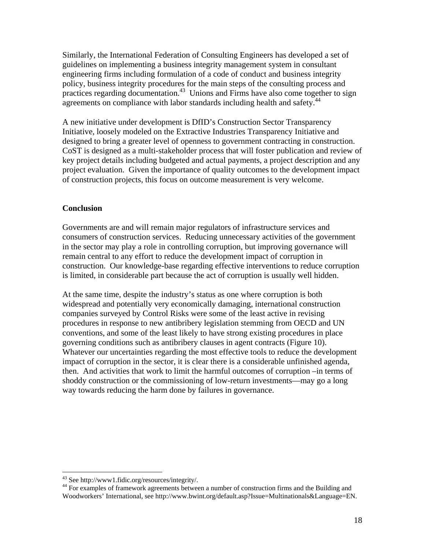Similarly, the International Federation of Consulting Engineers has developed a set of guidelines on implementing a business integrity management system in consultant engineering firms including formulation of a code of conduct and business integrity policy, business integrity procedures for the main steps of the consulting process and practices regarding documentation.<sup>43</sup> Unions and Firms have also come together to sign agreements on compliance with labor standards including health and safety.<sup>44</sup>

A new initiative under development is DfID's Construction Sector Transparency Initiative, loosely modeled on the Extractive Industries Transparency Initiative and designed to bring a greater level of openness to government contracting in construction. CoST is designed as a multi-stakeholder process that will foster publication and review of key project details including budgeted and actual payments, a project description and any project evaluation. Given the importance of quality outcomes to the development impact of construction projects, this focus on outcome measurement is very welcome.

## **Conclusion**

Governments are and will remain major regulators of infrastructure services and consumers of construction services. Reducing unnecessary activities of the government in the sector may play a role in controlling corruption, but improving governance will remain central to any effort to reduce the development impact of corruption in construction. Our knowledge-base regarding effective interventions to reduce corruption is limited, in considerable part because the act of corruption is usually well hidden.

At the same time, despite the industry's status as one where corruption is both widespread and potentially very economically damaging, international construction companies surveyed by Control Risks were some of the least active in revising procedures in response to new antibribery legislation stemming from OECD and UN conventions, and some of the least likely to have strong existing procedures in place governing conditions such as antibribery clauses in agent contracts (Figure 10). Whatever our uncertainties regarding the most effective tools to reduce the development impact of corruption in the sector, it is clear there is a considerable unfinished agenda, then. And activities that work to limit the harmful outcomes of corruption –in terms of shoddy construction or the commissioning of low-return investments—may go a long way towards reducing the harm done by failures in governance.

 $43$  See http://www1.fidic.org/resources/integrity/.

<sup>&</sup>lt;sup>44</sup> For examples of framework agreements between a number of construction firms and the Building and Woodworkers' International, see http://www.bwint.org/default.asp?Issue=Multinationals&Language=EN.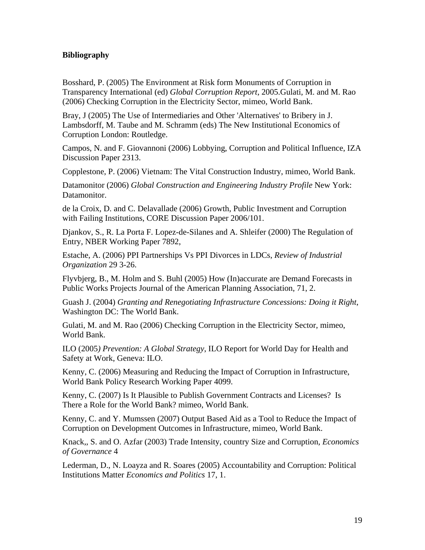## **Bibliography**

Bosshard, P. (2005) The Environment at Risk form Monuments of Corruption in Transparency International (ed) *Global Corruption Report*, 2005.Gulati, M. and M. Rao (2006) Checking Corruption in the Electricity Sector, mimeo, World Bank.

Bray, J (2005) The Use of Intermediaries and Other 'Alternatives' to Bribery in J. Lambsdorff, M. Taube and M. Schramm (eds) The New Institutional Economics of Corruption London: Routledge.

Campos, N. and F. Giovannoni (2006) Lobbying, Corruption and Political Influence, IZA Discussion Paper 2313.

Copplestone, P. (2006) Vietnam: The Vital Construction Industry, mimeo, World Bank.

Datamonitor (2006) *Global Construction and Engineering Industry Profile* New York: Datamonitor.

de la Croix, D. and C. Delavallade (2006) Growth, Public Investment and Corruption with Failing Institutions, CORE Discussion Paper 2006/101.

Djankov, S., R. La Porta F. Lopez-de-Silanes and A. Shleifer (2000) The Regulation of Entry, NBER Working Paper 7892,

Estache, A. (2006) PPI Partnerships Vs PPI Divorces in LDCs, *Review of Industrial Organization* 29 3-26.

Flyvbjerg, B., M. Holm and S. Buhl (2005) How (In)accurate are Demand Forecasts in Public Works Projects Journal of the American Planning Association, 71, 2.

Guash J. (2004) *Granting and Renegotiating Infrastructure Concessions: Doing it Right*, Washington DC: The World Bank.

Gulati, M. and M. Rao (2006) Checking Corruption in the Electricity Sector, mimeo, World Bank.

ILO (2005*) Prevention: A Global Strategy*, ILO Report for World Day for Health and Safety at Work, Geneva: ILO.

Kenny, C. (2006) Measuring and Reducing the Impact of Corruption in Infrastructure, World Bank Policy Research Working Paper 4099.

Kenny, C. (2007) Is It Plausible to Publish Government Contracts and Licenses? Is There a Role for the World Bank? mimeo, World Bank.

Kenny, C. and Y. Mumssen (2007) Output Based Aid as a Tool to Reduce the Impact of Corruption on Development Outcomes in Infrastructure, mimeo, World Bank.

Knack,, S. and O. Azfar (2003) Trade Intensity, country Size and Corruption, *Economics of Governance* 4

Lederman, D., N. Loayza and R. Soares (2005) Accountability and Corruption: Political Institutions Matter *Economics and Politics* 17, 1.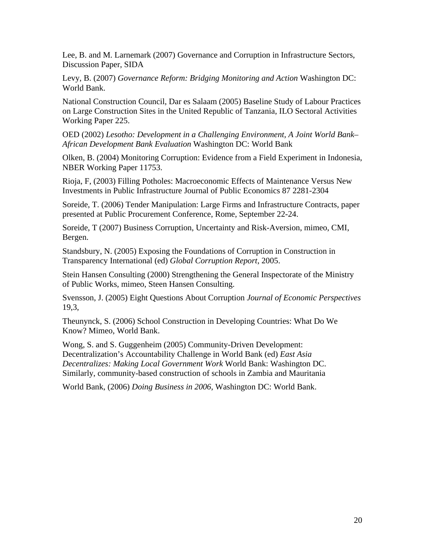Lee, B. and M. Larnemark (2007) Governance and Corruption in Infrastructure Sectors, Discussion Paper, SIDA

Levy, B. (2007) *Governance Reform: Bridging Monitoring and Action* Washington DC: World Bank.

National Construction Council, Dar es Salaam (2005) Baseline Study of Labour Practices on Large Construction Sites in the United Republic of Tanzania, ILO Sectoral Activities Working Paper 225.

OED (2002) *Lesotho: Development in a Challenging Environment, A Joint World Bank– African Development Bank Evaluation* Washington DC: World Bank

Olken, B. (2004) Monitoring Corruption: Evidence from a Field Experiment in Indonesia, NBER Working Paper 11753.

Rioja, F, (2003) Filling Potholes: Macroeconomic Effects of Maintenance Versus New Investments in Public Infrastructure Journal of Public Economics 87 2281-2304

Soreide, T. (2006) Tender Manipulation: Large Firms and Infrastructure Contracts, paper presented at Public Procurement Conference, Rome, September 22-24.

Soreide, T (2007) Business Corruption, Uncertainty and Risk-Aversion, mimeo, CMI, Bergen.

Standsbury, N. (2005) Exposing the Foundations of Corruption in Construction in Transparency International (ed) *Global Corruption Report*, 2005.

Stein Hansen Consulting (2000) Strengthening the General Inspectorate of the Ministry of Public Works, mimeo, Steen Hansen Consulting.

Svensson, J. (2005) Eight Questions About Corruption *Journal of Economic Perspectives* 19,3,

Theunynck, S. (2006) School Construction in Developing Countries: What Do We Know? Mimeo, World Bank.

Wong, S. and S. Guggenheim (2005) Community-Driven Development: Decentralization's Accountability Challenge in World Bank (ed) *East Asia Decentralizes: Making Local Government Work* World Bank: Washington DC. Similarly, community-based construction of schools in Zambia and Mauritania

World Bank, (2006) *Doing Business in 2006*, Washington DC: World Bank.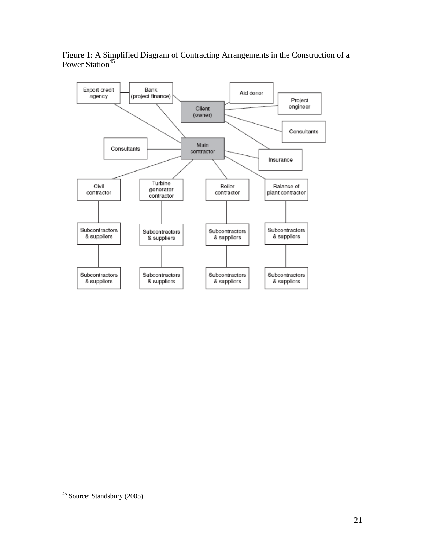Figure 1: A Simplified Diagram of Contracting Arrangements in the Construction of a Power Station<sup>45</sup>



 $45$  Source: Standsbury (2005)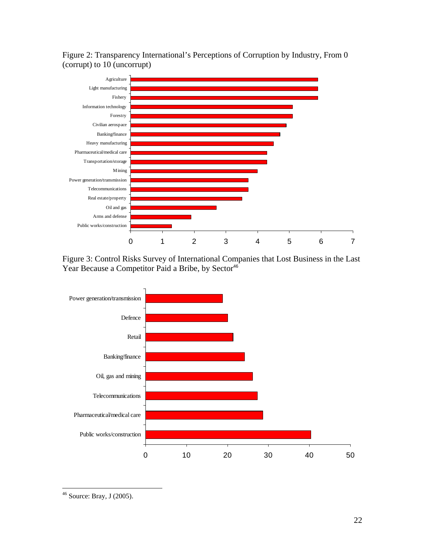Figure 2: Transparency International's Perceptions of Corruption by Industry, From 0 (corrupt) to 10 (uncorrupt)



Figure 3: Control Risks Survey of International Companies that Lost Business in the Last Year Because a Competitor Paid a Bribe, by Sector<sup>46</sup>



 $46$  Source: Bray, J (2005).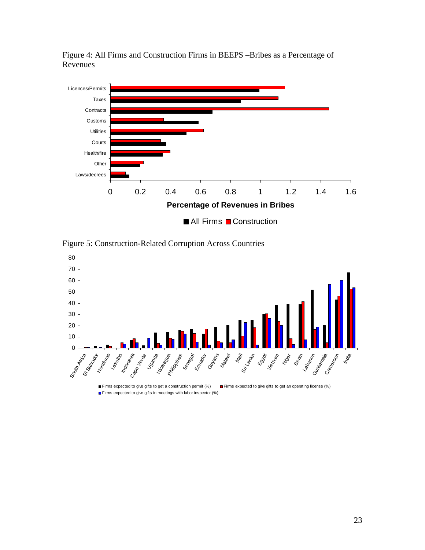

Figure 4: All Firms and Construction Firms in BEEPS –Bribes as a Percentage of Revenues

Figure 5: Construction-Related Corruption Across Countries



Firms expected to give gifts in meetings with labor inspector (%)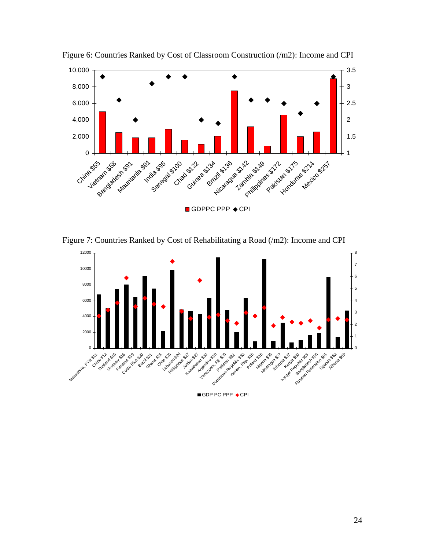

Figure 6: Countries Ranked by Cost of Classroom Construction (/m2): Income and CPI





■ GDP PC PPP ◆ CPI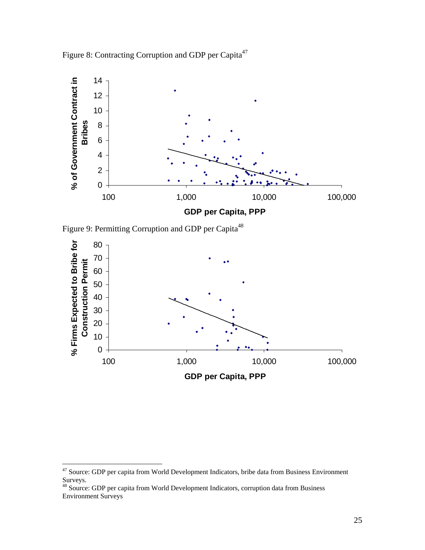Figure 8: Contracting Corruption and GDP per Capita<sup>47</sup>



Figure 9: Permitting Corruption and GDP per Capita<sup>48</sup>

<u>.</u>



 $47$  Source: GDP per capita from World Development Indicators, bribe data from Business Environment Surveys.

<sup>&</sup>lt;sup>48</sup> Source: GDP per capita from World Development Indicators, corruption data from Business Environment Surveys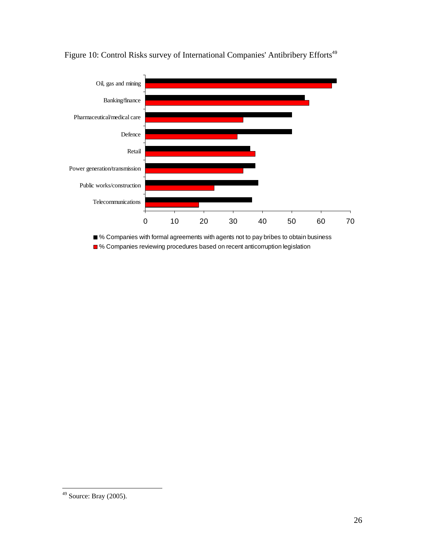

Figure 10: Control Risks survey of International Companies' Antibribery Efforts<sup>49</sup>

■ % Companies with formal agreements with agents not to pay bribes to obtain business

■ % Companies reviewing procedures based on recent anticorruption legislation

 $49$  Source: Bray (2005).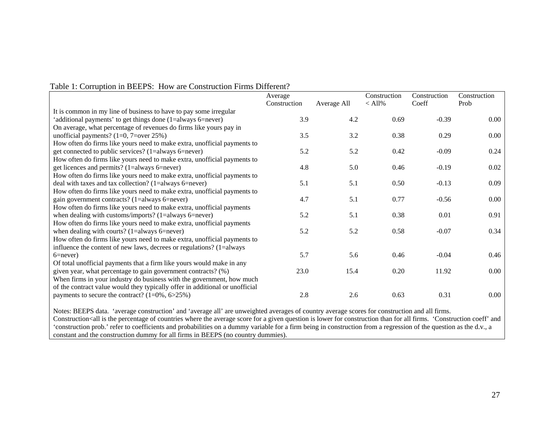|  | Table 1: Corruption in BEEPS: How are Construction Firms Different? |
|--|---------------------------------------------------------------------|
|--|---------------------------------------------------------------------|

|                                                                              | Average      |             | Construction | Construction | Construction |
|------------------------------------------------------------------------------|--------------|-------------|--------------|--------------|--------------|
|                                                                              | Construction | Average All | $<$ All%     | Coeff        | Prob         |
| It is common in my line of business to have to pay some irregular            |              |             |              |              |              |
| 'additional payments' to get things done (1=always 6=never)                  | 3.9          | 4.2         | 0.69         | $-0.39$      | $0.00\,$     |
| On average, what percentage of revenues do firms like yours pay in           |              |             |              |              |              |
| unofficial payments? $(1=0, 7=over 25%)$                                     | 3.5          | 3.2         | 0.38         | 0.29         | $0.00\,$     |
| How often do firms like yours need to make extra, unofficial payments to     |              |             |              |              |              |
| get connected to public services? (1=always 6=never)                         | 5.2          | 5.2         | 0.42         | $-0.09$      | 0.24         |
| How often do firms like yours need to make extra, unofficial payments to     |              |             |              |              |              |
| get licences and permits? (1=always 6=never)                                 | 4.8          | 5.0         | 0.46         | $-0.19$      | 0.02         |
| How often do firms like yours need to make extra, unofficial payments to     |              |             |              |              |              |
| deal with taxes and tax collection? (1=always 6=never)                       | 5.1          | 5.1         | 0.50         | $-0.13$      | 0.09         |
| How often do firms like yours need to make extra, unofficial payments to     |              |             |              |              |              |
| gain government contracts? (1=always 6=never)                                | 4.7          | 5.1         | 0.77         | $-0.56$      | 0.00         |
| How often do firms like yours need to make extra, unofficial payments        |              |             |              |              |              |
| when dealing with customs/imports? (1=always 6=never)                        | 5.2          | 5.1         | 0.38         | 0.01         | 0.91         |
| How often do firms like yours need to make extra, unofficial payments        |              |             |              |              |              |
| when dealing with courts? (1=always 6=never)                                 | 5.2          | 5.2         | 0.58         | $-0.07$      | 0.34         |
| How often do firms like yours need to make extra, unofficial payments to     |              |             |              |              |              |
| influence the content of new laws, decrees or regulations? (1=always         |              |             |              |              |              |
| $6$ =never)                                                                  | 5.7          | 5.6         | 0.46         | $-0.04$      | 0.46         |
| Of total unofficial payments that a firm like yours would make in any        |              |             |              |              |              |
| given year, what percentage to gain government contracts? (%)                | 23.0         | 15.4        | 0.20         | 11.92        | 0.00         |
| When firms in your industry do business with the government, how much        |              |             |              |              |              |
| of the contract value would they typically offer in additional or unofficial |              |             |              |              |              |
| payments to secure the contract? $(1=0\%, 6>25\%)$                           | 2.8          | 2.6         | 0.63         | 0.31         | 0.00         |

Notes: BEEPS data. 'average construction' and 'average all' are unweighted averages of country average scores for construction and all firms. Construction<all is the percentage of countries where the average score for a given question is lower for construction than for all firms. 'Construction coeff' and 'construction prob.' refer to coefficients and probabilities on a dummy variable for a firm being in construction from a regression of the question as the d.v., a constant and the construction dummy for all firms in BEEPS (no country dummies).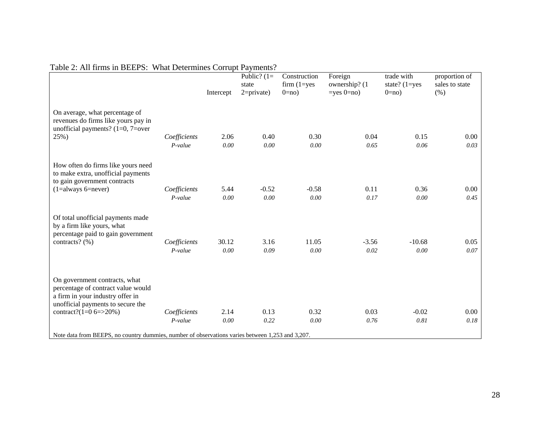|  | Table 2: All firms in BEEPS: What Determines Corrupt Payments? |
|--|----------------------------------------------------------------|
|--|----------------------------------------------------------------|

|                                                                                                                                                                          |                           | Intercept     | Public? $(1=$<br>state<br>$2 = private$ ) | Construction<br>$firm (1 = yes)$<br>$0=no$ | Foreign<br>ownership? (1<br>$=$ yes 0 $=$ no) | trade with<br>state? $(1 = yes$<br>$0=no$ | proportion of<br>sales to state<br>(% ) |
|--------------------------------------------------------------------------------------------------------------------------------------------------------------------------|---------------------------|---------------|-------------------------------------------|--------------------------------------------|-----------------------------------------------|-------------------------------------------|-----------------------------------------|
| On average, what percentage of<br>revenues do firms like yours pay in<br>unofficial payments? $(1=0, 7=over$<br>25%)                                                     | Coefficients<br>$P-value$ | 2.06<br>0.00  | 0.40<br>0.00                              | 0.30<br>0.00                               | 0.04<br>0.65                                  | 0.15<br>0.06                              | 0.00<br>0.03                            |
| How often do firms like yours need<br>to make extra, unofficial payments<br>to gain government contracts<br>$(1 =$ always 6=never)                                       | Coefficients<br>$P-value$ | 5.44<br>0.00  | $-0.52$<br>0.00                           | $-0.58$<br>0.00                            | 0.11<br>0.17                                  | 0.36<br>0.00                              | 0.00<br>0.45                            |
| Of total unofficial payments made<br>by a firm like yours, what<br>percentage paid to gain government<br>contracts? (%)                                                  | Coefficients<br>$P-value$ | 30.12<br>0.00 | 3.16<br>0.09                              | 11.05<br>$0.00\,$                          | $-3.56$<br>0.02                               | $-10.68$<br>0.00                          | 0.05<br>0.07                            |
| On government contracts, what<br>percentage of contract value would<br>a firm in your industry offer in<br>unofficial payments to secure the<br>contract? $(1=0 6=>20%)$ | Coefficients<br>$P-value$ | 2.14<br>0.00  | 0.13<br>0.22                              | 0.32<br>0.00                               | 0.03<br>0.76                                  | $-0.02$<br>0.81                           | 0.00<br>0.18                            |
| Note data from BEEPS, no country dummies, number of observations varies between 1,253 and 3,207.                                                                         |                           |               |                                           |                                            |                                               |                                           |                                         |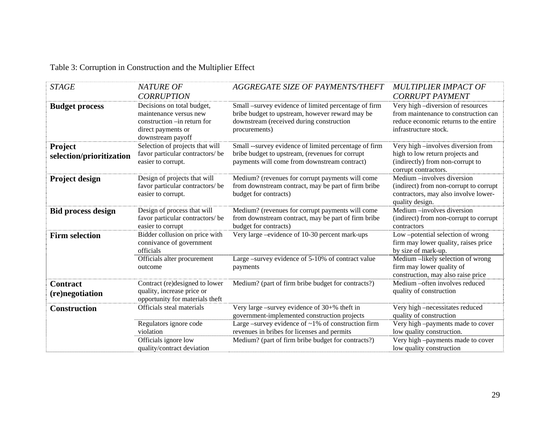Table 3: Corruption in Construction and the Multiplier Effect

| <b>STAGE</b>              | <b>NATURE OF</b><br><b>CORRUPTION</b>                                                                                          | <b>AGGREGATE SIZE OF PAYMENTS/THEFT</b>                                                                                                                              | <b>MULTIPLIER IMPACT OF</b><br><b>CORRUPT PAYMENT</b>                                                                                      |
|---------------------------|--------------------------------------------------------------------------------------------------------------------------------|----------------------------------------------------------------------------------------------------------------------------------------------------------------------|--------------------------------------------------------------------------------------------------------------------------------------------|
| <b>Budget process</b>     | Decisions on total budget,<br>maintenance versus new<br>construction -in return for<br>direct payments or<br>downstream payoff | Small –survey evidence of limited percentage of firm<br>bribe budget to upstream, however reward may be<br>downstream (received during construction<br>procurements) | Very high-diversion of resources<br>from maintenance to construction can<br>reduce economic returns to the entire<br>infrastructure stock. |
| Project                   | Selection of projects that will                                                                                                | Small --survey evidence of limited percentage of firm                                                                                                                | Very high --involves diversion from                                                                                                        |
| selection/prioritization  | favor particular contractors/be<br>easier to corrupt.                                                                          | bribe budget to upstream, (revenues for corrupt<br>payments will come from downstream contract)                                                                      | high to low return projects and<br>(indirectly) from non-corrupt to<br>corrupt contractors.                                                |
| Project design            | Design of projects that will<br>favor particular contractors/be<br>easier to corrupt.                                          | Medium? (revenues for corrupt payments will come<br>from downstream contract, may be part of firm bribe<br>budget for contracts)                                     | Medium --involves diversion<br>(indirect) from non-corrupt to corrupt<br>contractors, may also involve lower-<br>quality design.           |
| <b>Bid process design</b> | Design of process that will<br>favor particular contractors/be<br>easier to corrupt                                            | Medium? (revenues for corrupt payments will come<br>from downstream contract, may be part of firm bribe<br>budget for contracts)                                     | Medium --involves diversion<br>(indirect) from non-corrupt to corrupt<br>contractors                                                       |
| <b>Firm selection</b>     | Bidder collusion on price with<br>connivance of government<br>officials                                                        | Very large -evidence of 10-30 percent mark-ups                                                                                                                       | Low-potential selection of wrong<br>firm may lower quality, raises price<br>by size of mark-up.                                            |
|                           | Officials alter procurement<br>outcome                                                                                         | Large -survey evidence of 5-10% of contract value<br>payments                                                                                                        | Medium -likely selection of wrong<br>firm may lower quality of<br>construction, may also raise price                                       |
| <b>Contract</b>           | Contract (re)designed to lower                                                                                                 | Medium? (part of firm bribe budget for contracts?)                                                                                                                   | Medium - often involves reduced                                                                                                            |
| (re)negotiation           | quality, increase price or<br>opportunity for materials theft                                                                  |                                                                                                                                                                      | quality of construction                                                                                                                    |
| <b>Construction</b>       | Officials steal materials                                                                                                      | Very large -survey evidence of 30+% theft in<br>government-implemented construction projects                                                                         | Very high -necessitates reduced<br>quality of construction                                                                                 |
|                           | Regulators ignore code                                                                                                         | Large –survey evidence of $\sim$ 1% of construction firm                                                                                                             | Very high -payments made to cover                                                                                                          |
|                           | violation                                                                                                                      | revenues in bribes for licenses and permits                                                                                                                          | low quality construction.                                                                                                                  |
|                           | Officials ignore low<br>quality/contract deviation                                                                             | Medium? (part of firm bribe budget for contracts?)                                                                                                                   | Very high -payments made to cover<br>low quality construction                                                                              |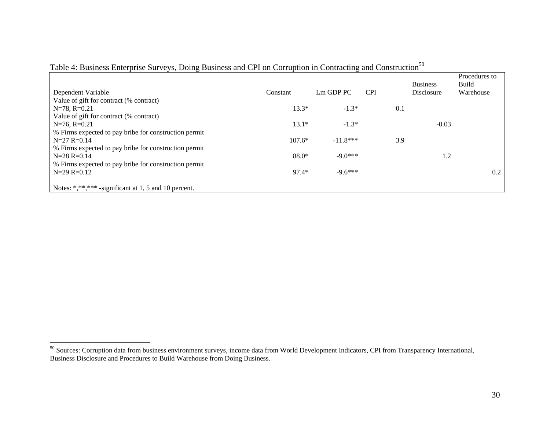|                                                       |          |             |            | <b>Business</b>   | Procedures to<br>Build |
|-------------------------------------------------------|----------|-------------|------------|-------------------|------------------------|
| Dependent Variable                                    | Constant | $Lm$ GDP PC | <b>CPI</b> | <b>Disclosure</b> | Warehouse              |
| Value of gift for contract (% contract)               |          |             |            |                   |                        |
| $N=78$ , $R=0.21$                                     | $13.3*$  | $-1.3*$     | 0.1        |                   |                        |
| Value of gift for contract (% contract)               |          |             |            |                   |                        |
| $N=76$ , $R=0.21$                                     | $13.1*$  | $-1.3*$     |            | $-0.03$           |                        |
| % Firms expected to pay bribe for construction permit |          |             |            |                   |                        |
| $N=27$ R=0.14                                         | $107.6*$ | $-11.8***$  | 3.9        |                   |                        |
| % Firms expected to pay bribe for construction permit |          |             |            |                   |                        |
| $N=28$ R=0.14                                         | 88.0*    | $-9.0***$   |            | 1.2               |                        |
| % Firms expected to pay bribe for construction permit |          |             |            |                   |                        |
| $N=29$ R=0.12                                         | 97.4*    | $-9.6***$   |            |                   | $0.2\,$                |
| Notes: *,**,*** -significant at 1, 5 and 10 percent.  |          |             |            |                   |                        |

# Table 4: Business Enterprise Surveys, Doing Business and CPI on Corruption in Contracting and Construction<sup>50</sup>

<sup>&</sup>lt;sup>50</sup> Sources: Corruption data from business environment surveys, income data from World Development Indicators, CPI from Transparency International, Business Disclosure and Procedures to Build Warehouse from Doing Business.